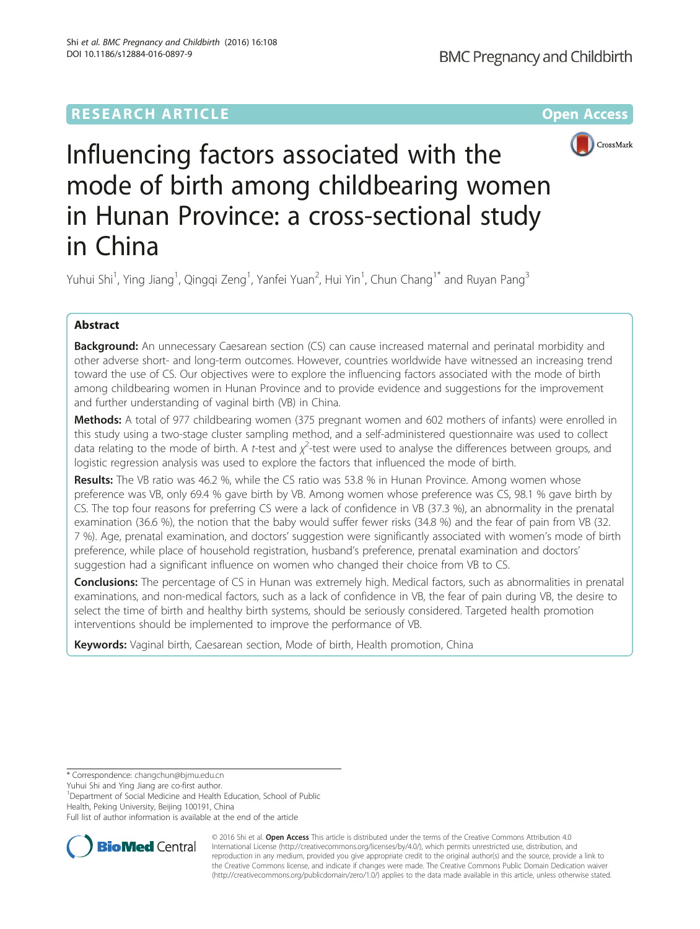# **RESEARCH ARTICLE Example 2014 12:30 The Community Community Community Community Community Community Community**



Influencing factors associated with the mode of birth among childbearing women in Hunan Province: a cross-sectional study in China

Yuhui Shi<sup>1</sup>, Ying Jiang<sup>1</sup>, Qingqi Zeng<sup>1</sup>, Yanfei Yuan<sup>2</sup>, Hui Yin<sup>1</sup>, Chun Chang<sup>1\*</sup> and Ruyan Pang<sup>3</sup>

## Abstract

Background: An unnecessary Caesarean section (CS) can cause increased maternal and perinatal morbidity and other adverse short- and long-term outcomes. However, countries worldwide have witnessed an increasing trend toward the use of CS. Our objectives were to explore the influencing factors associated with the mode of birth among childbearing women in Hunan Province and to provide evidence and suggestions for the improvement and further understanding of vaginal birth (VB) in China.

Methods: A total of 977 childbearing women (375 pregnant women and 602 mothers of infants) were enrolled in this study using a two-stage cluster sampling method, and a self-administered questionnaire was used to collect data relating to the mode of birth. A t-test and  $\chi^2$ -test were used to analyse the differences between groups, and logistic regression analysis was used to explore the factors that influenced the mode of birth.

Results: The VB ratio was 46.2 %, while the CS ratio was 53.8 % in Hunan Province. Among women whose preference was VB, only 69.4 % gave birth by VB. Among women whose preference was CS, 98.1 % gave birth by CS. The top four reasons for preferring CS were a lack of confidence in VB (37.3 %), an abnormality in the prenatal examination (36.6 %), the notion that the baby would suffer fewer risks (34.8 %) and the fear of pain from VB (32. 7 %). Age, prenatal examination, and doctors' suggestion were significantly associated with women's mode of birth preference, while place of household registration, husband's preference, prenatal examination and doctors' suggestion had a significant influence on women who changed their choice from VB to CS.

Conclusions: The percentage of CS in Hunan was extremely high. Medical factors, such as abnormalities in prenatal examinations, and non-medical factors, such as a lack of confidence in VB, the fear of pain during VB, the desire to select the time of birth and healthy birth systems, should be seriously considered. Targeted health promotion interventions should be implemented to improve the performance of VB.

Keywords: Vaginal birth, Caesarean section, Mode of birth, Health promotion, China

\* Correspondence: [changchun@bjmu.edu.cn](mailto:changchun@bjmu.edu.cn)

Yuhui Shi and Ying Jiang are co-first author.

<sup>1</sup>Department of Social Medicine and Health Education, School of Public Health, Peking University, Beijing 100191, China

Full list of author information is available at the end of the article



© 2016 Shi et al. Open Access This article is distributed under the terms of the Creative Commons Attribution 4.0 International License [\(http://creativecommons.org/licenses/by/4.0/](http://creativecommons.org/licenses/by/4.0/)), which permits unrestricted use, distribution, and reproduction in any medium, provided you give appropriate credit to the original author(s) and the source, provide a link to the Creative Commons license, and indicate if changes were made. The Creative Commons Public Domain Dedication waiver [\(http://creativecommons.org/publicdomain/zero/1.0/](http://creativecommons.org/publicdomain/zero/1.0/)) applies to the data made available in this article, unless otherwise stated.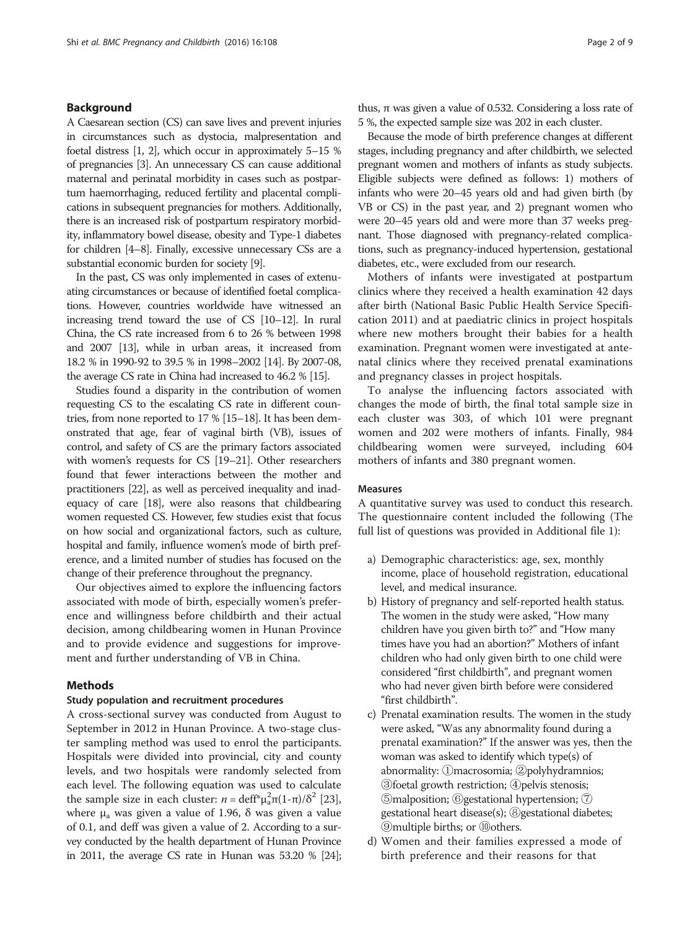## Background

A Caesarean section (CS) can save lives and prevent injuries in circumstances such as dystocia, malpresentation and foetal distress [\[1, 2\]](#page-7-0), which occur in approximately 5–15 % of pregnancies [\[3\]](#page-7-0). An unnecessary CS can cause additional maternal and perinatal morbidity in cases such as postpartum haemorrhaging, reduced fertility and placental complications in subsequent pregnancies for mothers. Additionally, there is an increased risk of postpartum respiratory morbidity, inflammatory bowel disease, obesity and Type-1 diabetes for children [\[4](#page-7-0)–[8](#page-7-0)]. Finally, excessive unnecessary CSs are a substantial economic burden for society [\[9\]](#page-7-0).

In the past, CS was only implemented in cases of extenuating circumstances or because of identified foetal complications. However, countries worldwide have witnessed an increasing trend toward the use of CS [[10](#page-7-0)–[12\]](#page-7-0). In rural China, the CS rate increased from 6 to 26 % between 1998 and 2007 [\[13](#page-7-0)], while in urban areas, it increased from 18.2 % in 1990-92 to 39.5 % in 1998–2002 [\[14\]](#page-7-0). By 2007-08, the average CS rate in China had increased to 46.2 % [\[15\]](#page-7-0).

Studies found a disparity in the contribution of women requesting CS to the escalating CS rate in different countries, from none reported to 17 % [\[15](#page-7-0)–[18\]](#page-7-0). It has been demonstrated that age, fear of vaginal birth (VB), issues of control, and safety of CS are the primary factors associated with women's requests for CS [[19](#page-7-0)–[21](#page-7-0)]. Other researchers found that fewer interactions between the mother and practitioners [\[22](#page-7-0)], as well as perceived inequality and inadequacy of care [\[18\]](#page-7-0), were also reasons that childbearing women requested CS. However, few studies exist that focus on how social and organizational factors, such as culture, hospital and family, influence women's mode of birth preference, and a limited number of studies has focused on the change of their preference throughout the pregnancy.

Our objectives aimed to explore the influencing factors associated with mode of birth, especially women's preference and willingness before childbirth and their actual decision, among childbearing women in Hunan Province and to provide evidence and suggestions for improvement and further understanding of VB in China.

## Methods

#### Study population and recruitment procedures

A cross-sectional survey was conducted from August to September in 2012 in Hunan Province. A two-stage cluster sampling method was used to enrol the participants. Hospitals were divided into provincial, city and county levels, and two hospitals were randomly selected from each level. The following equation was used to calculate the sample size in each cluster:  $n = \text{def}f^* \mu_a^2 \pi (1-\pi)/\delta^2$  [\[23](#page-7-0)], where  $\mu$ <sub>a</sub> was given a value of 1.96, δ was given a value of 0.1, and deff was given a value of 2. According to a survey conducted by the health department of Hunan Province in 2011, the average CS rate in Hunan was 53.20 % [\[24](#page-7-0)];

thus, π was given a value of 0.532. Considering a loss rate of 5 %, the expected sample size was 202 in each cluster.

Because the mode of birth preference changes at different stages, including pregnancy and after childbirth, we selected pregnant women and mothers of infants as study subjects. Eligible subjects were defined as follows: 1) mothers of infants who were 20–45 years old and had given birth (by VB or CS) in the past year, and 2) pregnant women who were 20–45 years old and were more than 37 weeks pregnant. Those diagnosed with pregnancy-related complications, such as pregnancy-induced hypertension, gestational diabetes, etc., were excluded from our research.

Mothers of infants were investigated at postpartum clinics where they received a health examination 42 days after birth (National Basic Public Health Service Specification 2011) and at paediatric clinics in project hospitals where new mothers brought their babies for a health examination. Pregnant women were investigated at antenatal clinics where they received prenatal examinations and pregnancy classes in project hospitals.

To analyse the influencing factors associated with changes the mode of birth, the final total sample size in each cluster was 303, of which 101 were pregnant women and 202 were mothers of infants. Finally, 984 childbearing women were surveyed, including 604 mothers of infants and 380 pregnant women.

#### Measures

A quantitative survey was used to conduct this research. The questionnaire content included the following (The full list of questions was provided in Additional file [1\)](#page-6-0):

- a) Demographic characteristics: age, sex, monthly income, place of household registration, educational level, and medical insurance.
- b) History of pregnancy and self-reported health status. The women in the study were asked, "How many children have you given birth to?" and "How many times have you had an abortion?" Mothers of infant children who had only given birth to one child were considered "first childbirth", and pregnant women who had never given birth before were considered "first childbirth".
- c) Prenatal examination results. The women in the study were asked, "Was any abnormality found during a prenatal examination?" If the answer was yes, then the woman was asked to identify which type(s) of abnormality: ①macrosomia; ②polyhydramnios; ③foetal growth restriction; ④pelvis stenosis; ⑤malposition; ⑥gestational hypertension; ⑦ gestational heart disease(s); ⑧gestational diabetes; ⑨multiple births; or ⑩others.
- d) Women and their families expressed a mode of birth preference and their reasons for that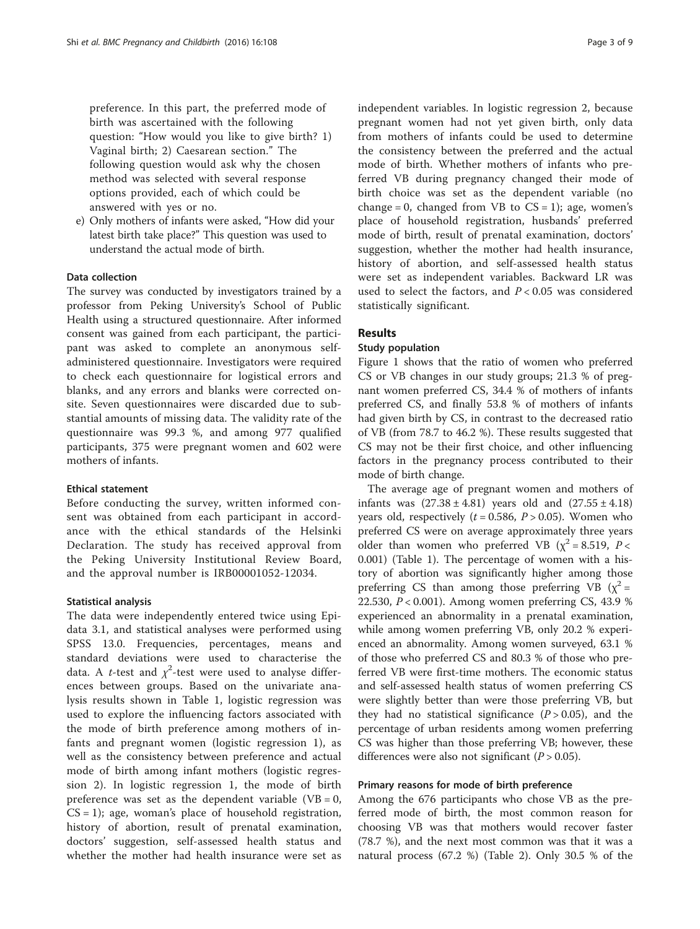preference. In this part, the preferred mode of birth was ascertained with the following question: "How would you like to give birth? 1) Vaginal birth; 2) Caesarean section." The following question would ask why the chosen method was selected with several response options provided, each of which could be answered with yes or no.

e) Only mothers of infants were asked, "How did your latest birth take place?" This question was used to understand the actual mode of birth.

#### Data collection

The survey was conducted by investigators trained by a professor from Peking University's School of Public Health using a structured questionnaire. After informed consent was gained from each participant, the participant was asked to complete an anonymous selfadministered questionnaire. Investigators were required to check each questionnaire for logistical errors and blanks, and any errors and blanks were corrected onsite. Seven questionnaires were discarded due to substantial amounts of missing data. The validity rate of the questionnaire was 99.3 %, and among 977 qualified participants, 375 were pregnant women and 602 were mothers of infants.

#### Ethical statement

Before conducting the survey, written informed consent was obtained from each participant in accordance with the ethical standards of the Helsinki Declaration. The study has received approval from the Peking University Institutional Review Board, and the approval number is IRB00001052-12034.

## Statistical analysis

The data were independently entered twice using Epidata 3.1, and statistical analyses were performed using SPSS 13.0. Frequencies, percentages, means and standard deviations were used to characterise the data. A *t*-test and  $\chi^2$ -test were used to analyse differences between groups. Based on the univariate analysis results shown in Table [1](#page-3-0), logistic regression was used to explore the influencing factors associated with the mode of birth preference among mothers of infants and pregnant women (logistic regression 1), as well as the consistency between preference and actual mode of birth among infant mothers (logistic regression 2). In logistic regression 1, the mode of birth preference was set as the dependent variable  $(VB = 0,$  $CS = 1$ ); age, woman's place of household registration, history of abortion, result of prenatal examination, doctors' suggestion, self-assessed health status and whether the mother had health insurance were set as independent variables. In logistic regression 2, because pregnant women had not yet given birth, only data from mothers of infants could be used to determine the consistency between the preferred and the actual mode of birth. Whether mothers of infants who preferred VB during pregnancy changed their mode of birth choice was set as the dependent variable (no change = 0, changed from VB to  $CS = 1$ ); age, women's place of household registration, husbands' preferred mode of birth, result of prenatal examination, doctors' suggestion, whether the mother had health insurance, history of abortion, and self-assessed health status were set as independent variables. Backward LR was used to select the factors, and  $P < 0.05$  was considered statistically significant.

## Results

## Study population

Figure [1](#page-4-0) shows that the ratio of women who preferred CS or VB changes in our study groups; 21.3 % of pregnant women preferred CS, 34.4 % of mothers of infants preferred CS, and finally 53.8 % of mothers of infants had given birth by CS, in contrast to the decreased ratio of VB (from 78.7 to 46.2 %). These results suggested that CS may not be their first choice, and other influencing factors in the pregnancy process contributed to their mode of birth change.

The average age of pregnant women and mothers of infants was  $(27.38 \pm 4.81)$  years old and  $(27.55 \pm 4.18)$ years old, respectively  $(t = 0.586, P > 0.05)$ . Women who preferred CS were on average approximately three years older than women who preferred VB ( $\chi^2$  = 8.519, P < 0.001) (Table [1](#page-3-0)). The percentage of women with a history of abortion was significantly higher among those preferring CS than among those preferring VB  $(x^2 =$ 22.530, P < 0.001). Among women preferring CS, 43.9 % experienced an abnormality in a prenatal examination, while among women preferring VB, only 20.2 % experienced an abnormality. Among women surveyed, 63.1 % of those who preferred CS and 80.3 % of those who preferred VB were first-time mothers. The economic status and self-assessed health status of women preferring CS were slightly better than were those preferring VB, but they had no statistical significance  $(P > 0.05)$ , and the percentage of urban residents among women preferring CS was higher than those preferring VB; however, these differences were also not significant  $(P > 0.05)$ .

## Primary reasons for mode of birth preference

Among the 676 participants who chose VB as the preferred mode of birth, the most common reason for choosing VB was that mothers would recover faster (78.7 %), and the next most common was that it was a natural process (67.2 %) (Table [2\)](#page-4-0). Only 30.5 % of the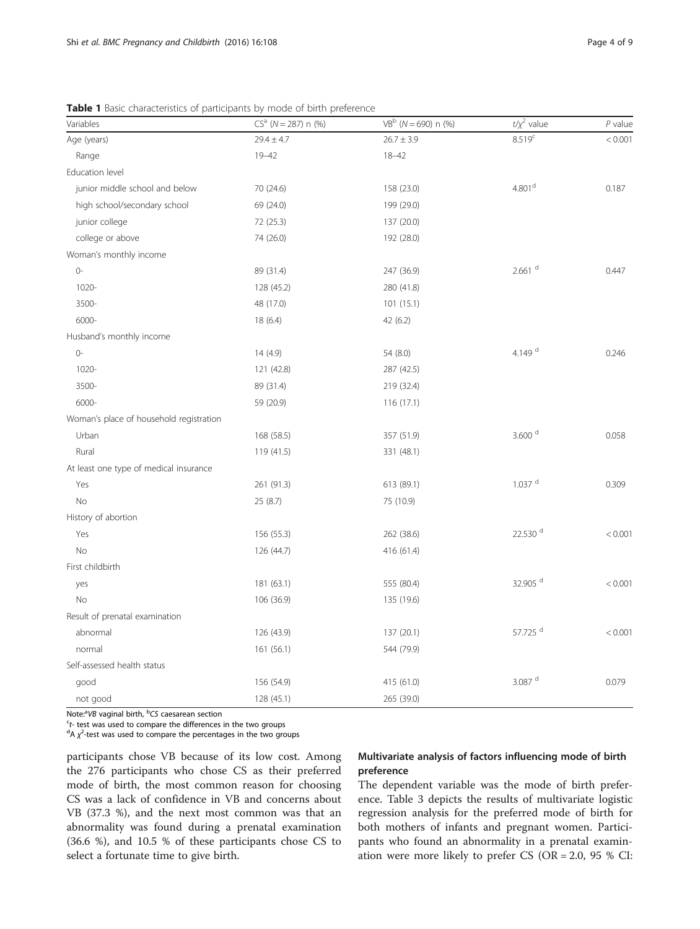| Variables                               | $CSa$ (N = 287) n (%) | $VB^b$ (N = 690) n (%) | $t/\chi^2$ value     | $P$ value |
|-----------------------------------------|-----------------------|------------------------|----------------------|-----------|
| Age (years)                             | $29.4 \pm 4.7$        | $26.7 \pm 3.9$         | 8.519 <sup>c</sup>   | < 0.001   |
| Range                                   | $19 - 42$             | $18 - 42$              |                      |           |
| Education level                         |                       |                        |                      |           |
| junior middle school and below          | 70 (24.6)             | 158 (23.0)             | 4.801 <sup>d</sup>   | 0.187     |
| high school/secondary school            | 69 (24.0)             | 199 (29.0)             |                      |           |
| junior college                          | 72 (25.3)             | 137 (20.0)             |                      |           |
| college or above                        | 74 (26.0)             | 192 (28.0)             |                      |           |
| Woman's monthly income                  |                       |                        |                      |           |
| $0-$                                    | 89 (31.4)             | 247 (36.9)             | $2.661$ <sup>d</sup> | 0.447     |
| 1020-                                   | 128 (45.2)            | 280 (41.8)             |                      |           |
| 3500-                                   | 48 (17.0)             | 101(15.1)              |                      |           |
| 6000-                                   | 18(6.4)               | 42 (6.2)               |                      |           |
| Husband's monthly income                |                       |                        |                      |           |
| $0-$                                    | 14(4.9)               | 54 (8.0)               | 4.149 $d$            | 0.246     |
| 1020-                                   | 121 (42.8)            | 287 (42.5)             |                      |           |
| 3500-                                   | 89 (31.4)             | 219 (32.4)             |                      |           |
| 6000-                                   | 59 (20.9)             | 116 (17.1)             |                      |           |
| Woman's place of household registration |                       |                        |                      |           |
| Urban                                   | 168 (58.5)            | 357 (51.9)             | $3.600$ $^{\rm d}$   | 0.058     |
| Rural                                   | 119 (41.5)            | 331 (48.1)             |                      |           |
| At least one type of medical insurance  |                       |                        |                      |           |
| Yes                                     | 261 (91.3)            | 613 (89.1)             | $1.037$ <sup>d</sup> | 0.309     |
| No                                      | 25(8.7)               | 75 (10.9)              |                      |           |
| History of abortion                     |                       |                        |                      |           |
| Yes                                     | 156 (55.3)            | 262 (38.6)             | 22.530 <sup>d</sup>  | < 0.001   |
| No                                      | 126 (44.7)            | 416 (61.4)             |                      |           |
| First childbirth                        |                       |                        |                      |           |
| yes                                     | 181 (63.1)            | 555 (80.4)             | 32.905 <sup>d</sup>  | < 0.001   |
| No                                      | 106 (36.9)            | 135 (19.6)             |                      |           |
| Result of prenatal examination          |                       |                        |                      |           |
| abnormal                                | 126 (43.9)            | 137 (20.1)             | 57.725 <sup>d</sup>  | < 0.001   |
| normal                                  | 161(56.1)             | 544 (79.9)             |                      |           |
| Self-assessed health status             |                       |                        |                      |           |
| good                                    | 156 (54.9)            | 415 (61.0)             | $3.087$ <sup>d</sup> | 0.079     |
| not good                                | 128 (45.1)            | 265 (39.0)             |                      |           |

<span id="page-3-0"></span>Table 1 Basic characteristics of participants by mode of birth preference

Note:<sup>a</sup>VB vaginal birth, <sup>b</sup>CS caesarean section<br><sup>C</sup>f, test was used to compare the differences

 $c$ t- test was used to compare the differences in the two groups

 $dA \chi^2$ -test was used to compare the percentages in the two groups

participants chose VB because of its low cost. Among the 276 participants who chose CS as their preferred mode of birth, the most common reason for choosing CS was a lack of confidence in VB and concerns about VB (37.3 %), and the next most common was that an abnormality was found during a prenatal examination (36.6 %), and 10.5 % of these participants chose CS to select a fortunate time to give birth.

## Multivariate analysis of factors influencing mode of birth preference

The dependent variable was the mode of birth preference. Table [3](#page-4-0) depicts the results of multivariate logistic regression analysis for the preferred mode of birth for both mothers of infants and pregnant women. Participants who found an abnormality in a prenatal examination were more likely to prefer CS (OR = 2.0, 95 % CI: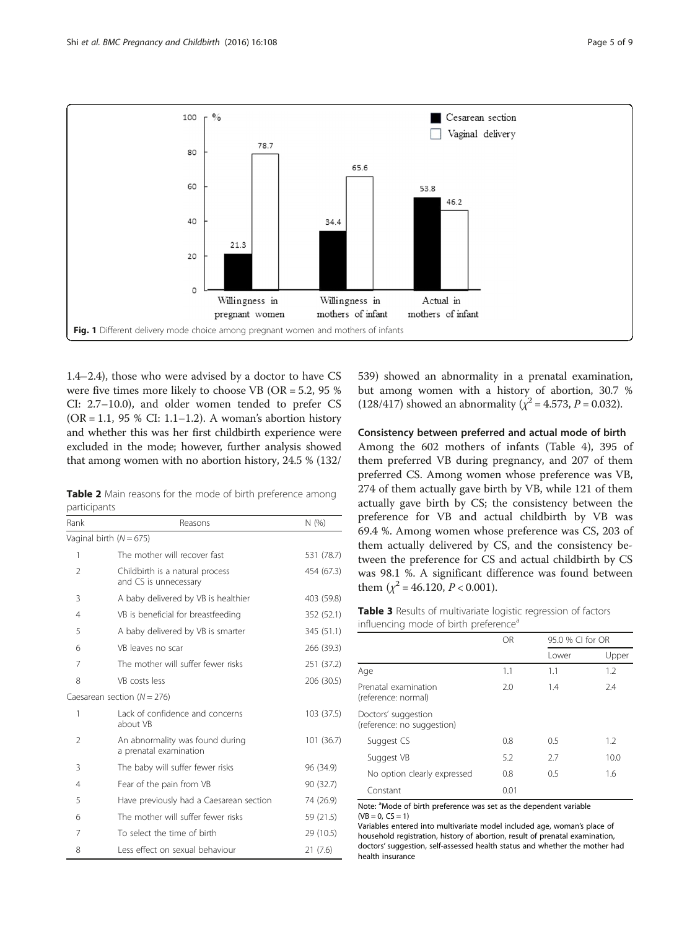<span id="page-4-0"></span>

1.4–2.4), those who were advised by a doctor to have CS were five times more likely to choose VB (OR = 5.2, 95 % CI: 2.7–10.0), and older women tended to prefer CS  $(OR = 1.1, 95 % CI: 1.1–1.2)$ . A woman's abortion history and whether this was her first childbirth experience were excluded in the mode; however, further analysis showed that among women with no abortion history, 24.5 % (132/

Table 2 Main reasons for the mode of birth preference among participants

| Rank           | Reasons                                                   | N(% )      |
|----------------|-----------------------------------------------------------|------------|
|                | Vaginal birth $(N = 675)$                                 |            |
| 1              | The mother will recover fast                              | 531 (78.7) |
| $\mathfrak{D}$ | Childbirth is a natural process<br>and CS is unnecessary  | 454 (67.3) |
| 3              | A baby delivered by VB is healthier                       | 403 (59.8) |
| $\overline{4}$ | VB is beneficial for breastfeeding                        | 352 (52.1) |
| 5              | A baby delivered by VB is smarter                         | 345 (51.1) |
| 6              | VB leaves no scar                                         | 266 (39.3) |
| 7              | The mother will suffer fewer risks                        | 251 (37.2) |
| 8              | VB costs less                                             | 206 (30.5) |
|                | Caesarean section ( $N = 276$ )                           |            |
| 1              | Lack of confidence and concerns<br>about VB               | 103 (37.5) |
| $\mathfrak{D}$ | An abnormality was found during<br>a prenatal examination | 101 (36.7) |
| 3              | The baby will suffer fewer risks                          | 96 (34.9)  |
| $\overline{4}$ | Fear of the pain from VB                                  | 90 (32.7)  |
| 5              | Have previously had a Caesarean section                   | 74 (26.9)  |
| 6              | The mother will suffer fewer risks                        | 59 (21.5)  |
| 7              | To select the time of birth                               | 29 (10.5)  |
| 8              | Less effect on sexual behaviour                           | 21(7.6)    |

539) showed an abnormality in a prenatal examination, but among women with a history of abortion, 30.7 % (128/417) showed an abnormality ( $\chi^2$  = 4.573, P = 0.032).

#### Consistency between preferred and actual mode of birth

Among the 602 mothers of infants (Table [4\)](#page-5-0), 395 of them preferred VB during pregnancy, and 207 of them preferred CS. Among women whose preference was VB, 274 of them actually gave birth by VB, while 121 of them actually gave birth by CS; the consistency between the preference for VB and actual childbirth by VB was 69.4 %. Among women whose preference was CS, 203 of them actually delivered by CS, and the consistency between the preference for CS and actual childbirth by CS was 98.1 %. A significant difference was found between them  $(\chi^2 = 46.120, P < 0.001)$ .

Table 3 Results of multivariate logistic regression of factors influencing mode of birth preference<sup>a</sup>

|                                                   | OR   |        | 95.0 % CL for OR |  |
|---------------------------------------------------|------|--------|------------------|--|
|                                                   |      | l ower | Upper            |  |
| Age                                               | 1.1  | 1.1    | 1.2              |  |
| Prenatal examination<br>(reference: normal)       | 2.0  | 14     | 2.4              |  |
| Doctors' suggestion<br>(reference: no suggestion) |      |        |                  |  |
| Suggest CS                                        | 0.8  | 0.5    | 1.2              |  |
| Suggest VB                                        | 5.2  | 2.7    | 10.0             |  |
| No option clearly expressed                       | 0.8  | 0.5    | 1.6              |  |
| Constant                                          | 0.01 |        |                  |  |

Note: <sup>a</sup>Mode of birth preference was set as the dependent variable  $(VB = 0, CS = 1)$ 

Variables entered into multivariate model included age, woman's place of household registration, history of abortion, result of prenatal examination, doctors' suggestion, self-assessed health status and whether the mother had health insurance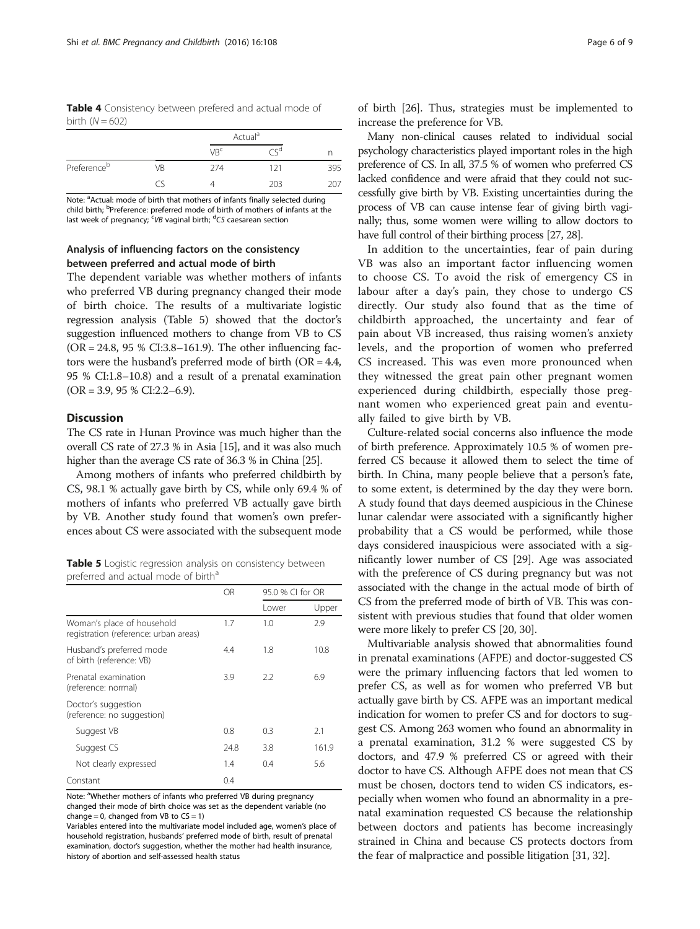<span id="page-5-0"></span>Table 4 Consistency between prefered and actual mode of birth  $(N = 602)$ 

|             |    | Actual <sup>a</sup> |     |     |
|-------------|----|---------------------|-----|-----|
|             |    | VB <sup>c</sup>     |     |     |
| Preferenceb | VB | 274                 | 121 | 395 |
|             |    |                     | 203 | 207 |

Note: <sup>a</sup>Actual: mode of birth that mothers of infants finally selected during child birth; <sup>b</sup>Preference: preferred mode of birth of mothers of infants at the last week of pregnancy; <sup>c</sup>VB vaginal birth; <sup>d</sup>CS caesarean section

## Analysis of influencing factors on the consistency between preferred and actual mode of birth

The dependent variable was whether mothers of infants who preferred VB during pregnancy changed their mode of birth choice. The results of a multivariate logistic regression analysis (Table 5) showed that the doctor's suggestion influenced mothers to change from VB to CS (OR = 24.8, 95 % CI:3.8–161.9). The other influencing factors were the husband's preferred mode of birth  $(OR = 4.4,$ 95 % CI:1.8–10.8) and a result of a prenatal examination  $(OR = 3.9, 95 % CI: 2.2-6.9).$ 

## **Discussion**

The CS rate in Hunan Province was much higher than the overall CS rate of 27.3 % in Asia [[15](#page-7-0)], and it was also much higher than the average CS rate of 36.3 % in China [\[25](#page-7-0)].

Among mothers of infants who preferred childbirth by CS, 98.1 % actually gave birth by CS, while only 69.4 % of mothers of infants who preferred VB actually gave birth by VB. Another study found that women's own preferences about CS were associated with the subsequent mode

Table 5 Logistic regression analysis on consistency between preferred and actual mode of birth<sup>a</sup>

|                                                                     | OR   | 95.0 % CL for OR |       |
|---------------------------------------------------------------------|------|------------------|-------|
|                                                                     |      | Lower            | Upper |
| Woman's place of household<br>registration (reference: urban areas) | 1.7  | 1.0              | 2.9   |
| Husband's preferred mode<br>of birth (reference: VB)                | 4.4  | 1.8              | 10.8  |
| Prenatal examination<br>(reference: normal)                         | 3.9  | 2.2              | 6.9   |
| Doctor's suggestion<br>(reference: no suggestion)                   |      |                  |       |
| Suggest VB                                                          | 0.8  | 0.3              | 2.1   |
| Suggest CS                                                          | 24.8 | 3.8              | 161.9 |
| Not clearly expressed                                               | 1.4  | 0.4              | 5.6   |
| Constant                                                            | 0.4  |                  |       |

Note: <sup>a</sup>Whether mothers of infants who preferred VB during pregnancy changed their mode of birth choice was set as the dependent variable (no change  $= 0$ , changed from VB to  $CS = 1$ )

Variables entered into the multivariate model included age, women's place of household registration, husbands' preferred mode of birth, result of prenatal examination, doctor's suggestion, whether the mother had health insurance, history of abortion and self-assessed health status

of birth [[26\]](#page-7-0). Thus, strategies must be implemented to increase the preference for VB.

Many non-clinical causes related to individual social psychology characteristics played important roles in the high preference of CS. In all, 37.5 % of women who preferred CS lacked confidence and were afraid that they could not successfully give birth by VB. Existing uncertainties during the process of VB can cause intense fear of giving birth vaginally; thus, some women were willing to allow doctors to have full control of their birthing process [\[27](#page-7-0), [28](#page-7-0)].

In addition to the uncertainties, fear of pain during VB was also an important factor influencing women to choose CS. To avoid the risk of emergency CS in labour after a day's pain, they chose to undergo CS directly. Our study also found that as the time of childbirth approached, the uncertainty and fear of pain about VB increased, thus raising women's anxiety levels, and the proportion of women who preferred CS increased. This was even more pronounced when they witnessed the great pain other pregnant women experienced during childbirth, especially those pregnant women who experienced great pain and eventually failed to give birth by VB.

Culture-related social concerns also influence the mode of birth preference. Approximately 10.5 % of women preferred CS because it allowed them to select the time of birth. In China, many people believe that a person's fate, to some extent, is determined by the day they were born. A study found that days deemed auspicious in the Chinese lunar calendar were associated with a significantly higher probability that a CS would be performed, while those days considered inauspicious were associated with a significantly lower number of CS [[29](#page-7-0)]. Age was associated with the preference of CS during pregnancy but was not associated with the change in the actual mode of birth of CS from the preferred mode of birth of VB. This was consistent with previous studies that found that older women were more likely to prefer CS [[20](#page-7-0), [30\]](#page-7-0).

Multivariable analysis showed that abnormalities found in prenatal examinations (AFPE) and doctor-suggested CS were the primary influencing factors that led women to prefer CS, as well as for women who preferred VB but actually gave birth by CS. AFPE was an important medical indication for women to prefer CS and for doctors to suggest CS. Among 263 women who found an abnormality in a prenatal examination, 31.2 % were suggested CS by doctors, and 47.9 % preferred CS or agreed with their doctor to have CS. Although AFPE does not mean that CS must be chosen, doctors tend to widen CS indicators, especially when women who found an abnormality in a prenatal examination requested CS because the relationship between doctors and patients has become increasingly strained in China and because CS protects doctors from the fear of malpractice and possible litigation [[31, 32\]](#page-7-0).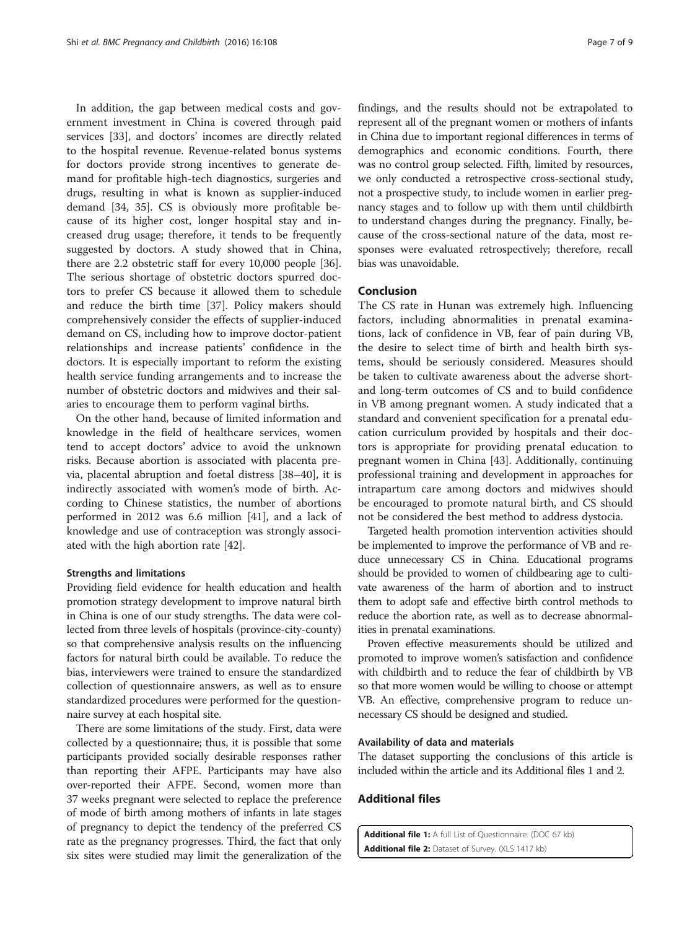<span id="page-6-0"></span>In addition, the gap between medical costs and government investment in China is covered through paid services [\[33\]](#page-7-0), and doctors' incomes are directly related to the hospital revenue. Revenue-related bonus systems for doctors provide strong incentives to generate demand for profitable high-tech diagnostics, surgeries and drugs, resulting in what is known as supplier-induced demand [[34,](#page-7-0) [35\]](#page-8-0). CS is obviously more profitable because of its higher cost, longer hospital stay and increased drug usage; therefore, it tends to be frequently suggested by doctors. A study showed that in China, there are 2.2 obstetric staff for every 10,000 people [\[36](#page-8-0)]. The serious shortage of obstetric doctors spurred doctors to prefer CS because it allowed them to schedule and reduce the birth time [[37\]](#page-8-0). Policy makers should comprehensively consider the effects of supplier-induced demand on CS, including how to improve doctor-patient relationships and increase patients' confidence in the doctors. It is especially important to reform the existing health service funding arrangements and to increase the number of obstetric doctors and midwives and their salaries to encourage them to perform vaginal births.

On the other hand, because of limited information and knowledge in the field of healthcare services, women tend to accept doctors' advice to avoid the unknown risks. Because abortion is associated with placenta previa, placental abruption and foetal distress [\[38](#page-8-0)–[40\]](#page-8-0), it is indirectly associated with women's mode of birth. According to Chinese statistics, the number of abortions performed in 2012 was 6.6 million [[41](#page-8-0)], and a lack of knowledge and use of contraception was strongly associated with the high abortion rate [[42](#page-8-0)].

#### Strengths and limitations

Providing field evidence for health education and health promotion strategy development to improve natural birth in China is one of our study strengths. The data were collected from three levels of hospitals (province-city-county) so that comprehensive analysis results on the influencing factors for natural birth could be available. To reduce the bias, interviewers were trained to ensure the standardized collection of questionnaire answers, as well as to ensure standardized procedures were performed for the questionnaire survey at each hospital site.

There are some limitations of the study. First, data were collected by a questionnaire; thus, it is possible that some participants provided socially desirable responses rather than reporting their AFPE. Participants may have also over-reported their AFPE. Second, women more than 37 weeks pregnant were selected to replace the preference of mode of birth among mothers of infants in late stages of pregnancy to depict the tendency of the preferred CS rate as the pregnancy progresses. Third, the fact that only six sites were studied may limit the generalization of the findings, and the results should not be extrapolated to represent all of the pregnant women or mothers of infants in China due to important regional differences in terms of demographics and economic conditions. Fourth, there was no control group selected. Fifth, limited by resources, we only conducted a retrospective cross-sectional study, not a prospective study, to include women in earlier pregnancy stages and to follow up with them until childbirth to understand changes during the pregnancy. Finally, because of the cross-sectional nature of the data, most responses were evaluated retrospectively; therefore, recall bias was unavoidable.

## Conclusion

The CS rate in Hunan was extremely high. Influencing factors, including abnormalities in prenatal examinations, lack of confidence in VB, fear of pain during VB, the desire to select time of birth and health birth systems, should be seriously considered. Measures should be taken to cultivate awareness about the adverse shortand long-term outcomes of CS and to build confidence in VB among pregnant women. A study indicated that a standard and convenient specification for a prenatal education curriculum provided by hospitals and their doctors is appropriate for providing prenatal education to pregnant women in China [\[43](#page-8-0)]. Additionally, continuing professional training and development in approaches for intrapartum care among doctors and midwives should be encouraged to promote natural birth, and CS should not be considered the best method to address dystocia.

Targeted health promotion intervention activities should be implemented to improve the performance of VB and reduce unnecessary CS in China. Educational programs should be provided to women of childbearing age to cultivate awareness of the harm of abortion and to instruct them to adopt safe and effective birth control methods to reduce the abortion rate, as well as to decrease abnormalities in prenatal examinations.

Proven effective measurements should be utilized and promoted to improve women's satisfaction and confidence with childbirth and to reduce the fear of childbirth by VB so that more women would be willing to choose or attempt VB. An effective, comprehensive program to reduce unnecessary CS should be designed and studied.

## Availability of data and materials

The dataset supporting the conclusions of this article is included within the article and its Additional files 1 and 2.

## Additional files

[Additional file 1:](dx.doi.org/10.1186/s12884-016-0897-9) A full List of Questionnaire. (DOC 67 kb) [Additional file 2:](dx.doi.org/10.1186/s12884-016-0897-9) Dataset of Survey. (XLS 1417 kb)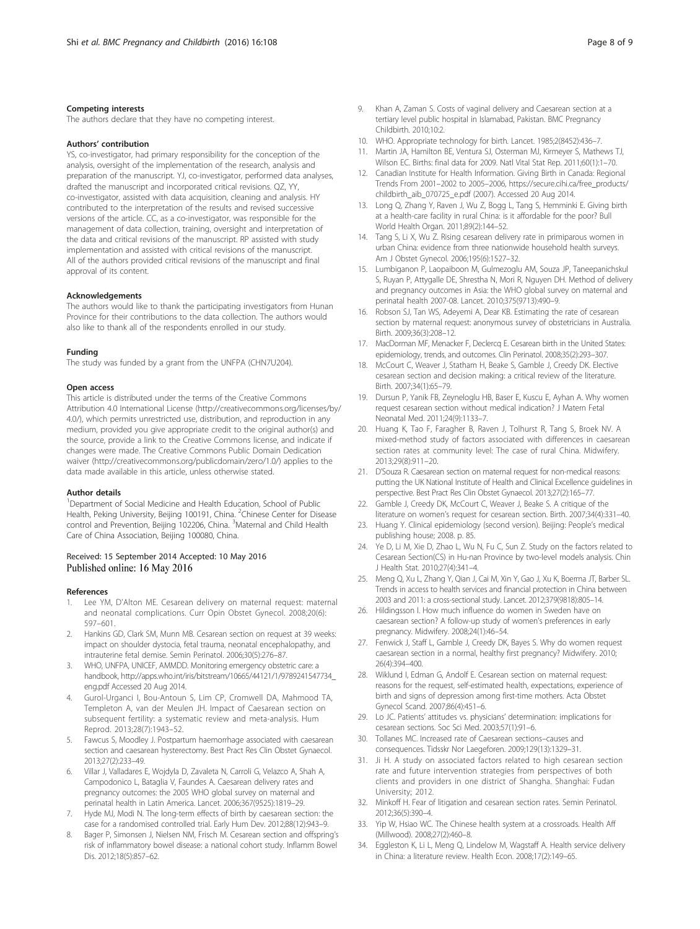#### <span id="page-7-0"></span>Competing interests

The authors declare that they have no competing interest.

#### Authors' contribution

YS, co-investigator, had primary responsibility for the conception of the analysis, oversight of the implementation of the research, analysis and preparation of the manuscript. YJ, co-investigator, performed data analyses, drafted the manuscript and incorporated critical revisions. QZ, YY, co-investigator, assisted with data acquisition, cleaning and analysis. HY contributed to the interpretation of the results and revised successive versions of the article. CC, as a co-investigator, was responsible for the management of data collection, training, oversight and interpretation of the data and critical revisions of the manuscript. RP assisted with study implementation and assisted with critical revisions of the manuscript. All of the authors provided critical revisions of the manuscript and final approval of its content.

#### Acknowledgements

The authors would like to thank the participating investigators from Hunan Province for their contributions to the data collection. The authors would also like to thank all of the respondents enrolled in our study.

#### Funding

The study was funded by a grant from the UNFPA (CHN7U204).

#### Open access

This article is distributed under the terms of the Creative Commons Attribution 4.0 International License [\(http://creativecommons.org/licenses/by/](http://creativecommons.org/licenses/by/4.0/) [4.0/\)](http://creativecommons.org/licenses/by/4.0/), which permits unrestricted use, distribution, and reproduction in any medium, provided you give appropriate credit to the original author(s) and the source, provide a link to the Creative Commons license, and indicate if changes were made. The Creative Commons Public Domain Dedication waiver [\(http://creativecommons.org/publicdomain/zero/1.0/](http://creativecommons.org/publicdomain/zero/1.0/)) applies to the data made available in this article, unless otherwise stated.

#### Author details

<sup>1</sup>Department of Social Medicine and Health Education, School of Public Health, Peking University, Beijing 100191, China. <sup>2</sup>Chinese Center for Disease control and Prevention, Beijing 102206, China. <sup>3</sup>Maternal and Child Health Care of China Association, Beijing 100080, China.

## Received: 15 September 2014 Accepted: 10 May 2016 Published online: 16 May 2016

#### References

- 1. Lee YM, D'Alton ME. Cesarean delivery on maternal request: maternal and neonatal complications. Curr Opin Obstet Gynecol. 2008;20(6): 597–601.
- 2. Hankins GD, Clark SM, Munn MB. Cesarean section on request at 39 weeks: impact on shoulder dystocia, fetal trauma, neonatal encephalopathy, and intrauterine fetal demise. Semin Perinatol. 2006;30(5):276–87.
- WHO, UNFPA, UNICEF, AMMDD. Monitoring emergency obstetric care: a handbook, [http://apps.who.int/iris/bitstream/10665/44121/1/9789241547734\\_](http://apps.who.int/iris/bitstream/10665/44121/1/9789241547734_eng.pdf) [eng.pdf](http://apps.who.int/iris/bitstream/10665/44121/1/9789241547734_eng.pdf) Accessed 20 Aug 2014.
- 4. Gurol-Urganci I, Bou-Antoun S, Lim CP, Cromwell DA, Mahmood TA, Templeton A, van der Meulen JH. Impact of Caesarean section on subsequent fertility: a systematic review and meta-analysis. Hum Reprod. 2013;28(7):1943–52.
- 5. Fawcus S, Moodley J. Postpartum haemorrhage associated with caesarean section and caesarean hysterectomy. Best Pract Res Clin Obstet Gynaecol. 2013;27(2):233–49.
- 6. Villar J, Valladares E, Wojdyla D, Zavaleta N, Carroli G, Velazco A, Shah A, Campodonico L, Bataglia V, Faundes A. Caesarean delivery rates and pregnancy outcomes: the 2005 WHO global survey on maternal and perinatal health in Latin America. Lancet. 2006;367(9525):1819–29.
- 7. Hyde MJ, Modi N. The long-term effects of birth by caesarean section: the case for a randomised controlled trial. Early Hum Dev. 2012;88(12):943–9.
- Bager P, Simonsen J, Nielsen NM, Frisch M. Cesarean section and offspring's risk of inflammatory bowel disease: a national cohort study. Inflamm Bowel Dis. 2012;18(5):857–62.
- 9. Khan A, Zaman S. Costs of vaginal delivery and Caesarean section at a tertiary level public hospital in Islamabad, Pakistan. BMC Pregnancy Childbirth. 2010;10:2.
- 10. WHO. Appropriate technology for birth. Lancet. 1985;2(8452):436–7.
- 11. Martin JA, Hamilton BE, Ventura SJ, Osterman MJ, Kirmeyer S, Mathews TJ, Wilson EC. Births: final data for 2009. Natl Vital Stat Rep. 2011;60(1):1–70.
- 12. Canadian Institute for Health Information. Giving Birth in Canada: Regional Trends From 2001–2002 to 2005–2006, [https://secure.cihi.ca/free\\_products/](https://secure.cihi.ca/free_products/childbirth_aib_070725_e.pdf) [childbirth\\_aib\\_070725\\_e.pdf](https://secure.cihi.ca/free_products/childbirth_aib_070725_e.pdf) (2007). Accessed 20 Aug 2014.
- 13. Long Q, Zhang Y, Raven J, Wu Z, Bogg L, Tang S, Hemminki E. Giving birth at a health-care facility in rural China: is it affordable for the poor? Bull World Health Organ. 2011;89(2):144–52.
- 14. Tang S, Li X, Wu Z. Rising cesarean delivery rate in primiparous women in urban China: evidence from three nationwide household health surveys. Am J Obstet Gynecol. 2006;195(6):1527–32.
- 15. Lumbiganon P, Laopaiboon M, Gulmezoglu AM, Souza JP, Taneepanichskul S, Ruyan P, Attygalle DE, Shrestha N, Mori R, Nguyen DH. Method of delivery and pregnancy outcomes in Asia: the WHO global survey on maternal and perinatal health 2007-08. Lancet. 2010;375(9713):490–9.
- 16. Robson SJ, Tan WS, Adeyemi A, Dear KB. Estimating the rate of cesarean section by maternal request: anonymous survey of obstetricians in Australia. Birth. 2009;36(3):208–12.
- 17. MacDorman MF, Menacker F, Declercq E. Cesarean birth in the United States: epidemiology, trends, and outcomes. Clin Perinatol. 2008;35(2):293–307.
- 18. McCourt C, Weaver J, Statham H, Beake S, Gamble J, Creedy DK. Elective cesarean section and decision making: a critical review of the literature. Birth. 2007;34(1):65–79.
- 19. Dursun P, Yanik FB, Zeyneloglu HB, Baser E, Kuscu E, Ayhan A. Why women request cesarean section without medical indication? J Matern Fetal Neonatal Med. 2011;24(9):1133–7.
- 20. Huang K, Tao F, Faragher B, Raven J, Tolhurst R, Tang S, Broek NV. A mixed-method study of factors associated with differences in caesarean section rates at community level: The case of rural China. Midwifery. 2013;29(8):911–20.
- 21. D'Souza R. Caesarean section on maternal request for non-medical reasons: putting the UK National Institute of Health and Clinical Excellence guidelines in perspective. Best Pract Res Clin Obstet Gynaecol. 2013;27(2):165–77.
- 22. Gamble J, Creedy DK, McCourt C, Weaver J, Beake S. A critique of the literature on women's request for cesarean section. Birth. 2007;34(4):331–40.
- 23. Huang Y. Clinical epidemiology (second version). Beijing: People's medical publishing house; 2008. p. 85.
- 24. Ye D, Li M, Xie D, Zhao L, Wu N, Fu C, Sun Z. Study on the factors related to Cesarean Section(CS) in Hu-nan Province by two-level models analysis. Chin J Health Stat. 2010;27(4):341–4.
- 25. Meng Q, Xu L, Zhang Y, Qian J, Cai M, Xin Y, Gao J, Xu K, Boerma JT, Barber SL. Trends in access to health services and financial protection in China between 2003 and 2011: a cross-sectional study. Lancet. 2012;379(9818):805–14.
- 26. Hildingsson I. How much influence do women in Sweden have on caesarean section? A follow-up study of women's preferences in early pregnancy. Midwifery. 2008;24(1):46–54.
- 27. Fenwick J, Staff L, Gamble J, Creedy DK, Bayes S. Why do women request caesarean section in a normal, healthy first pregnancy? Midwifery. 2010; 26(4):394–400.
- 28. Wiklund I, Edman G, Andolf E. Cesarean section on maternal request: reasons for the request, self-estimated health, expectations, experience of birth and signs of depression among first-time mothers. Acta Obstet Gynecol Scand. 2007;86(4):451–6.
- 29. Lo JC. Patients' attitudes vs. physicians' determination: implications for cesarean sections. Soc Sci Med. 2003;57(1):91–6.
- 30. Tollanes MC. Increased rate of Caesarean sections–causes and consequences. Tidsskr Nor Laegeforen. 2009;129(13):1329–31.
- 31. Ji H. A study on associated factors related to high cesarean section rate and future intervention strategies from perspectives of both clients and providers in one district of Shangha. Shanghai: Fudan University; 2012.
- 32. Minkoff H. Fear of litigation and cesarean section rates. Semin Perinatol. 2012;36(5):390–4.
- 33. Yip W, Hsiao WC. The Chinese health system at a crossroads. Health Aff (Millwood). 2008;27(2):460–8.
- 34. Eggleston K, Li L, Meng Q, Lindelow M, Wagstaff A. Health service delivery in China: a literature review. Health Econ. 2008;17(2):149–65.